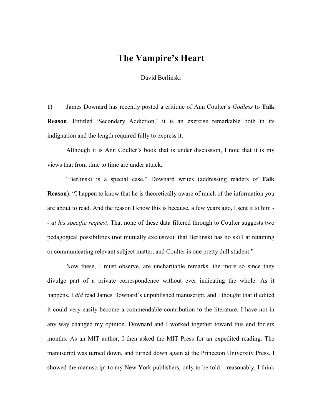## **The Vampire's Heart**

David Berlinski

**1)** James Downard has recently posted a critique of Ann Coulter's *Godless* to **Talk Reason***.* Entitled 'Secondary Addiction,' it is an exercise remarkable both in its indignation and the length required fully to express it.

Although it is Ann Coulter's book that is under discussion, I note that it is my views that from time to time are under attack.

"Berlinski is a special case," Downard writes (addressing readers of **Talk Reason**). "I happen to know that he is theoretically aware of much of the information you are about to read. And the reason I know this is because, a few years ago, I sent it to him - - *at his specific request*. That none of these data filtered through to Coulter suggests two pedagogical possibilities (not mutually exclusive): that Berlinski has no skill at retaining or communicating relevant subject matter, and Coulter is one pretty dull student."

 Now these, I must observe, are uncharitable remarks, the more so since they divulge part of a private correspondence without ever indicating the whole. As it happens, I *did* read James Downard's unpublished manuscript, and I thought that if edited it could very easily become a commendable contribution to the literature. I have not in any way changed my opinion. Downard and I worked together toward this end for six months. As an MIT author, I then asked the MIT Press for an expedited reading. The manuscript was turned down, and turned down again at the Princeton University Press. I showed the manuscript to my New York publishers, only to be told – reasonably, I think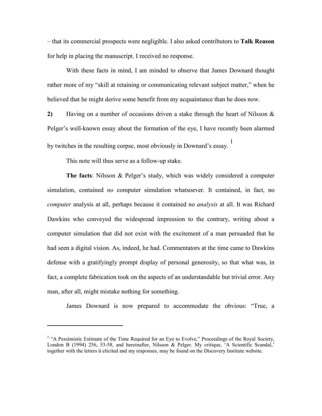– that its commercial prospects were negligible. I also asked contributors to **Talk Reason** for help in placing the manuscript. I received no response.

With these facts in mind, I am minded to observe that James Downard thought rather more of my "skill at retaining or communicating relevant subject matter," when he believed that he might derive some benefit from my acquaintance than he does now.

**2)** Having on a number of occasions driven a stake through the heart of Nilsson & Pelger's well-known essay about the formation of the eye, I have recently been alarmed by twitches in the resulting corpse, most obviously in Downard's essay.  $\frac{1}{1}$ 

This note will thus serve as a follow-up stake.

-

**The facts**: Nilsson & Pelger's study, which was widely considered a computer simulation, contained *no* computer simulation whatsoever. It contained, in fact, no *computer* analysis at all, perhaps because it contained no *analysis* at all. It was Richard Dawkins who conveyed the widespread impression to the contrary, writing about a computer simulation that did not exist with the excitement of a man persuaded that he had seen a digital vision. As, indeed, he had. Commentators at the time came to Dawkins defense with a gratifyingly prompt display of personal generosity, so that what was, in fact, a complete fabrication took on the aspects of an understandable but trivial error. Any man, after all, might mistake nothing for something.

James Downard is now prepared to accommodate the obvious: "True, a

<sup>&</sup>lt;sup>1</sup> "A Pessimistic Estimate of the Time Required for an Eye to Evolve," Proceedings of the Royal Society, London B (1994) 256, 53-58, and hereinafter, Nilsson & Pelger. My critique, 'A Scientific Scandal,' together with the letters it elicited and my responses, may be found on the Discovery Institute website.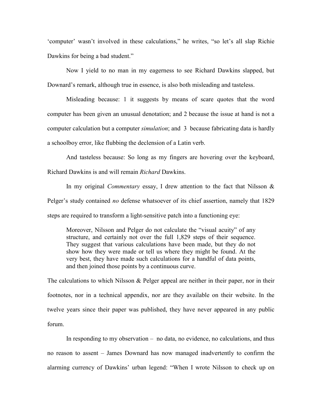'computer' wasn't involved in these calculations," he writes, "so let's all slap Richie Dawkins for being a bad student."

Now I yield to no man in my eagerness to see Richard Dawkins slapped, but Downard's remark, although true in essence, is also both misleading and tasteless.

Misleading because: 1 it suggests by means of scare quotes that the word computer has been given an unusual denotation; and 2 because the issue at hand is not a computer calculation but a computer *simulation*; and 3 because fabricating data is hardly a schoolboy error, like flubbing the declension of a Latin verb.

And tasteless because: So long as my fingers are hovering over the keyboard, Richard Dawkins is and will remain *Richard* Dawkins.

In my original *Commentary* essay, I drew attention to the fact that Nilsson & Pelger's study contained *no* defense whatsoever of its chief assertion, namely that 1829 steps are required to transform a light-sensitive patch into a functioning eye:

Moreover, Nilsson and Pelger do not calculate the "visual acuity" of any structure, and certainly not over the full 1,829 steps of their sequence. They suggest that various calculations have been made, but they do not show how they were made or tell us where they might be found. At the very best, they have made such calculations for a handful of data points, and then joined those points by a continuous curve.

The calculations to which Nilsson & Pelger appeal are neither in their paper, nor in their footnotes, nor in a technical appendix, nor are they available on their website. In the twelve years since their paper was published, they have never appeared in any public forum.

 In responding to my observation – no data, no evidence, no calculations, and thus no reason to assent – James Downard has now managed inadvertently to confirm the alarming currency of Dawkins' urban legend: "When I wrote Nilsson to check up on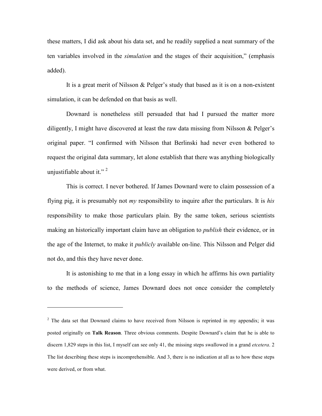these matters, I did ask about his data set, and he readily supplied a neat summary of the ten variables involved in the *simulation* and the stages of their acquisition," (emphasis added).

It is a great merit of Nilsson & Pelger's study that based as it is on a non-existent simulation, it can be defended on that basis as well.

 Downard is nonetheless still persuaded that had I pursued the matter more diligently, I might have discovered at least the raw data missing from Nilsson & Pelger's original paper. "I confirmed with Nilsson that Berlinski had never even bothered to request the original data summary, let alone establish that there was anything biologically unjustifiable about it." $2$ 

This is correct. I never bothered. If James Downard were to claim possession of a flying pig, it is presumably not *my* responsibility to inquire after the particulars. It is *his* responsibility to make those particulars plain. By the same token, serious scientists making an historically important claim have an obligation to *publish* their evidence, or in the age of the Internet, to make it *publicly* available on-line. This Nilsson and Pelger did not do, and this they have never done.

It is astonishing to me that in a long essay in which he affirms his own partiality to the methods of science, James Downard does not once consider the completely

 $\overline{a}$ 

 $2$  The data set that Downard claims to have received from Nilsson is reprinted in my appendix; it was posted originally on **Talk Reason**. Three obvious comments. Despite Downard's claim that he is able to discern 1,829 steps in this list, I myself can see only 41, the missing steps swallowed in a grand *etcetera*. 2 The list describing these steps is incomprehensible. And 3, there is no indication at all as to how these steps were derived, or from what.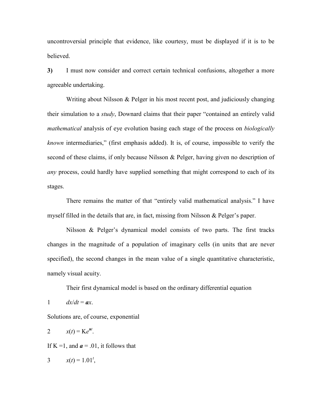uncontroversial principle that evidence, like courtesy, must be displayed if it is to be believed.

**3)** I must now consider and correct certain technical confusions, altogether a more agreeable undertaking.

Writing about Nilsson & Pelger in his most recent post, and judiciously changing their simulation to a *study*, Downard claims that their paper "contained an entirely valid *mathematical* analysis of eye evolution basing each stage of the process on *biologically known* intermediaries," (first emphasis added). It is, of course, impossible to verify the second of these claims, if only because Nilsson & Pelger, having given no description of *any* process, could hardly have supplied something that might correspond to each of its stages.

There remains the matter of that "entirely valid mathematical analysis." I have myself filled in the details that are, in fact, missing from Nilsson & Pelger's paper.

Nilsson & Pelger's dynamical model consists of two parts. The first tracks changes in the magnitude of a population of imaginary cells (in units that are never specified), the second changes in the mean value of a single quantitative characteristic, namely visual acuity.

Their first dynamical model is based on the ordinary differential equation

1  $dx/dt = ax$ .

Solutions are, of course, exponential

$$
2 \qquad x(t) = Ke^{at}.
$$

If  $K = 1$ , and  $\mathbf{a} = .01$ , it follows that

3  $x(t) = 1.01^t$ ,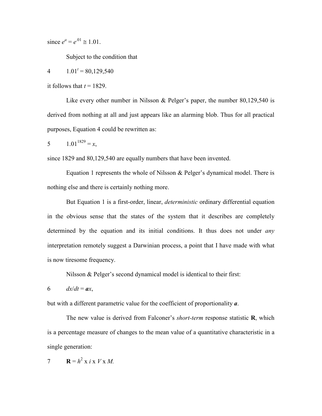since  $e^a = e^{01} \approx 1.01$ .

Subject to the condition that

4  $1.01^t = 80,129,540$ 

it follows that  $t = 1829$ .

Like every other number in Nilsson & Pelger's paper, the number 80,129,540 is derived from nothing at all and just appears like an alarming blob. Thus for all practical purposes, Equation 4 could be rewritten as:

5  $1.01^{1829} = x$ ,

since 1829 and 80,129,540 are equally numbers that have been invented.

 Equation 1 represents the whole of Nilsson & Pelger's dynamical model. There is nothing else and there is certainly nothing more.

 But Equation 1 is a first-order, linear, *deterministic* ordinary differential equation in the obvious sense that the states of the system that it describes are completely determined by the equation and its initial conditions. It thus does not under *any* interpretation remotely suggest a Darwinian process, a point that I have made with what is now tiresome frequency.

Nilsson & Pelger's second dynamical model is identical to their first:

6  $dx/dt = ax$ ,

but with a different parametric value for the coefficient of proportionality *a*.

The new value is derived from Falconer's *short-term* response statistic **R**, which is a percentage measure of changes to the mean value of a quantitative characteristic in a single generation:

$$
7 \qquad \mathbf{R} = h^2 \times i \times V \times M.
$$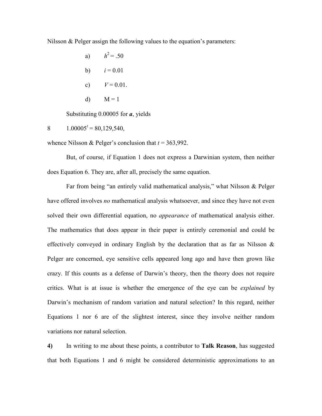Nilsson & Pelger assign the following values to the equation's parameters:

| a)            | $h^2 = .50$  |
|---------------|--------------|
| b)            | $i = 0.01$   |
| $\mathbf{c})$ | $V = 0.01$ . |
| d)            | $M = 1$      |

Substituting 0.00005 for *a*, yields

8  $1.00005^t = 80,129,540,$ 

whence Nilsson & Pelger's conclusion that *t* = 363,992.

But, of course, if Equation 1 does not express a Darwinian system, then neither does Equation 6. They are, after all, precisely the same equation.

Far from being "an entirely valid mathematical analysis," what Nilsson & Pelger have offered involves *no* mathematical analysis whatsoever, and since they have not even solved their own differential equation, no *appearance* of mathematical analysis either. The mathematics that does appear in their paper is entirely ceremonial and could be effectively conveyed in ordinary English by the declaration that as far as Nilsson & Pelger are concerned, eye sensitive cells appeared long ago and have then grown like crazy. If this counts as a defense of Darwin's theory, then the theory does not require critics. What is at issue is whether the emergence of the eye can be *explained* by Darwin's mechanism of random variation and natural selection? In this regard, neither Equations 1 nor 6 are of the slightest interest, since they involve neither random variations nor natural selection.

**4)** In writing to me about these points, a contributor to **Talk Reason**, has suggested that both Equations 1 and 6 might be considered deterministic approximations to an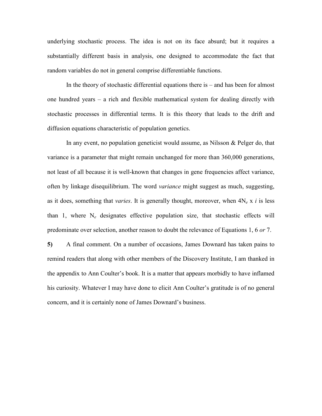underlying stochastic process. The idea is not on its face absurd; but it requires a substantially different basis in analysis, one designed to accommodate the fact that random variables do not in general comprise differentiable functions.

 In the theory of stochastic differential equations there is – and has been for almost one hundred years – a rich and flexible mathematical system for dealing directly with stochastic processes in differential terms. It is this theory that leads to the drift and diffusion equations characteristic of population genetics.

In any event, no population geneticist would assume, as Nilsson & Pelger do, that variance is a parameter that might remain unchanged for more than 360,000 generations, not least of all because it is well-known that changes in gene frequencies affect variance, often by linkage disequilibrium. The word *variance* might suggest as much, suggesting, as it does, something that *varies*. It is generally thought, moreover, when 4N*e* x *i* is less than 1, where  $N_e$  designates effective population size, that stochastic effects will predominate over selection, another reason to doubt the relevance of Equations 1, 6 *or* 7.

**5)** A final comment. On a number of occasions, James Downard has taken pains to remind readers that along with other members of the Discovery Institute, I am thanked in the appendix to Ann Coulter's book. It is a matter that appears morbidly to have inflamed his curiosity. Whatever I may have done to elicit Ann Coulter's gratitude is of no general concern, and it is certainly none of James Downard's business.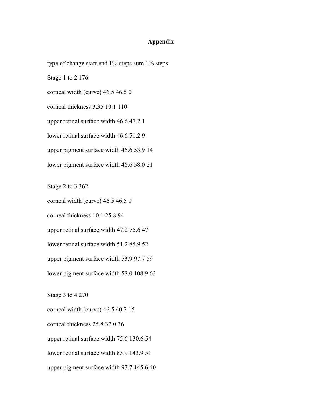## **Appendix**

type of change start end 1% steps sum 1% steps Stage 1 to 2 176 corneal width (curve) 46.5 46.5 0 corneal thickness 3.35 10.1 110 upper retinal surface width 46.6 47.2 1 lower retinal surface width 46.6 51.2 9 upper pigment surface width 46.6 53.9 14 lower pigment surface width 46.6 58.0 21

Stage 2 to 3 362

corneal width (curve) 46.5 46.5 0

corneal thickness 10.1 25.8 94

upper retinal surface width 47.2 75.6 47

lower retinal surface width 51.2 85.9 52

upper pigment surface width 53.9 97.7 59

lower pigment surface width 58.0 108.9 63

Stage 3 to 4 270

corneal width (curve) 46.5 40.2 15 corneal thickness 25.8 37.0 36 upper retinal surface width 75.6 130.6 54 lower retinal surface width 85.9 143.9 51 upper pigment surface width 97.7 145.6 40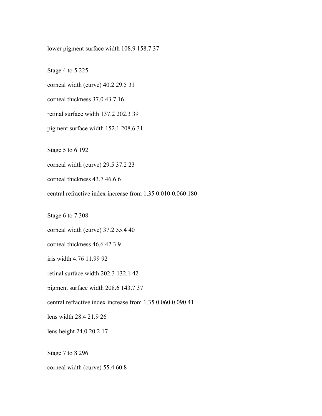lower pigment surface width 108.9 158.7 37

Stage 4 to 5 225

corneal width (curve) 40.2 29.5 31

corneal thickness 37.0 43.7 16

retinal surface width 137.2 202.3 39

pigment surface width 152.1 208.6 31

Stage 5 to 6 192

corneal width (curve) 29.5 37.2 23

corneal thickness 43.7 46.6 6

central refractive index increase from 1.35 0.010 0.060 180

Stage 6 to 7 308

corneal width (curve) 37.2 55.4 40

corneal thickness 46.6 42.3 9

iris width 4.76 11.99 92

retinal surface width 202.3 132.1 42

pigment surface width 208.6 143.7 37

central refractive index increase from 1.35 0.060 0.090 41

lens width 28.4 21.9 26

lens height 24.0 20.2 17

Stage 7 to 8 296

corneal width (curve) 55.4 60 8